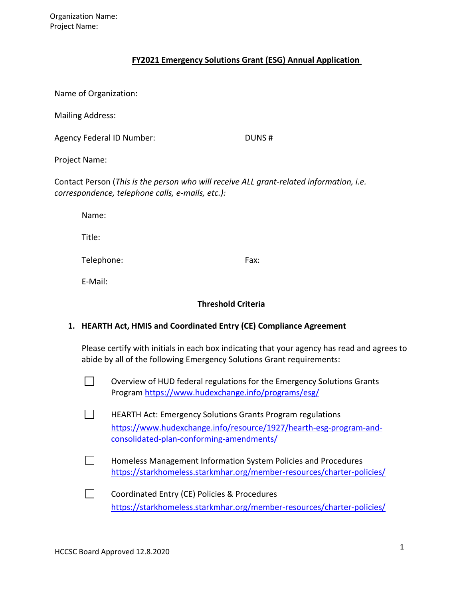## **FY2021 Emergency Solutions Grant (ESG) Annual Application**

Name of Organization:

Mailing Address:

Agency Federal ID Number: DUNS #

Project Name:

Contact Person (*This is the person who will receive ALL grant‐related information, i.e. correspondence, telephone calls, e‐mails, etc.):*

Name:

Title:

Telephone: Fax:

E‐Mail:

## **Threshold Criteria**

# **1. HEARTH Act, HMIS and Coordinated Entry (CE) Compliance Agreement**

Please certify with initials in each box indicating that your agency has read and agrees to abide by all of the following Emergency Solutions Grant requirements:

 $\mathcal{L}^{\text{max}}$ Overview of HUD federal regulations for the Emergency Solutions Grants Program<https://www.hudexchange.info/programs/esg/>

 $\Box$ HEARTH Act: Emergency Solutions Grants Program regulations [https://www.hudexchange.info/resource/1927/hearth-esg-program-and](https://www.hudexchange.info/resource/1927/hearth-esg-program-and-consolidated-plan-conforming-amendments/)[consolidated-plan-conforming-amendments/](https://www.hudexchange.info/resource/1927/hearth-esg-program-and-consolidated-plan-conforming-amendments/)

- $\mathbf{L}$ Homeless Management Information System Policies and Procedures <https://starkhomeless.starkmhar.org/member-resources/charter-policies/>
- $\Box$ Coordinated Entry (CE) Policies & Procedures <https://starkhomeless.starkmhar.org/member-resources/charter-policies/>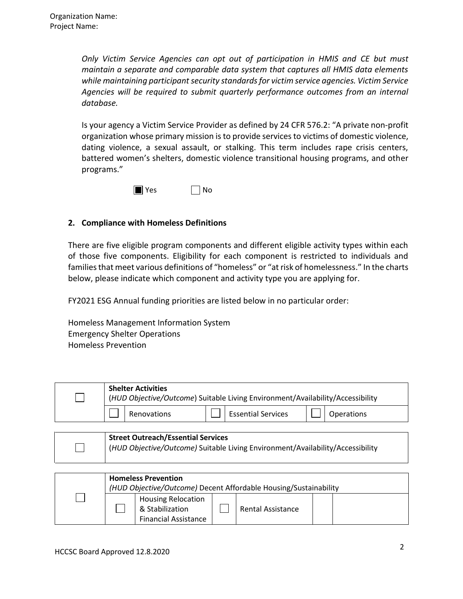*Only Victim Service Agencies can opt out of participation in HMIS and CE but must maintain a separate and comparable data system that captures all HMIS data elements*  while maintaining participant security standards for victim service agencies. Victim Service *Agencies will be required to submit quarterly performance outcomes from an internal database.*

Is your agency a Victim Service Provider as defined by 24 CFR 576.2: "A private non‐profit organization whose primary mission is to provide services to victims of domestic violence, dating violence, a sexual assault, or stalking. This term includes rape crisis centers, battered women's shelters, domestic violence transitional housing programs, and other programs."



# **2. Compliance with Homeless Definitions**

There are five eligible program components and different eligible activity types within each of those five components. Eligibility for each component is restricted to individuals and families that meet various definitions of "homeless" or "at risk of homelessness." In the charts below, please indicate which component and activity type you are applying for.

FY2021 ESG Annual funding priorities are listed below in no particular order:

Homeless Management Information System Emergency Shelter Operations Homeless Prevention

| <b>Shelter Activities</b><br>(HUD Objective/Outcome) Suitable Living Environment/Availability/Accessibility |             |  |                           |  |            |  |
|-------------------------------------------------------------------------------------------------------------|-------------|--|---------------------------|--|------------|--|
|                                                                                                             | Renovations |  | <b>Essential Services</b> |  | Operations |  |

| <b>Street Outreach/Essential Services</b>                                      |
|--------------------------------------------------------------------------------|
| (HUD Objective/Outcome) Suitable Living Environment/Availability/Accessibility |
|                                                                                |

| <b>Homeless Prevention</b><br>(HUD Objective/Outcome) Decent Affordable Housing/Sustainability |                                                                             |  |                          |  |  |
|------------------------------------------------------------------------------------------------|-----------------------------------------------------------------------------|--|--------------------------|--|--|
|                                                                                                | <b>Housing Relocation</b><br>& Stabilization<br><b>Financial Assistance</b> |  | <b>Rental Assistance</b> |  |  |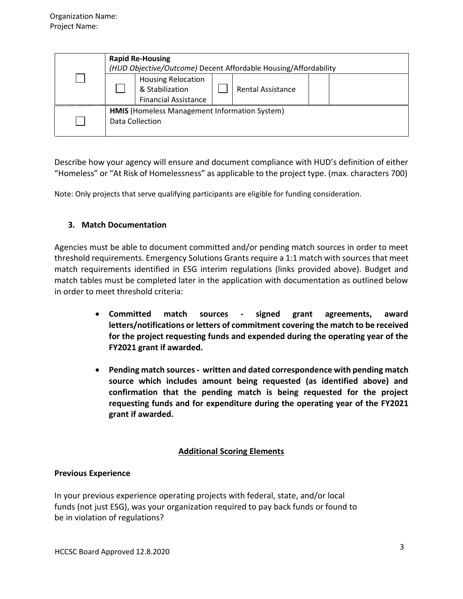|  | <b>Rapid Re-Housing</b><br>(HUD Objective/Outcome) Decent Affordable Housing/Affordability              |  |  |  |  |  |
|--|---------------------------------------------------------------------------------------------------------|--|--|--|--|--|
|  | <b>Housing Relocation</b><br>& Stabilization<br><b>Rental Assistance</b><br><b>Financial Assistance</b> |  |  |  |  |  |
|  | HMIS (Homeless Management Information System)<br>Data Collection                                        |  |  |  |  |  |

Describe how your agency will ensure and document compliance with HUD's definition of either "Homeless" or "At Risk of Homelessness" as applicable to the project type. (max. characters 700)

Note: Only projects that serve qualifying participants are eligible for funding consideration.

# **3. Match Documentation**

Agencies must be able to document committed and/or pending match sources in order to meet threshold requirements. Emergency Solutions Grants require a 1:1 match with sourcesthat meet match requirements identified in ESG interim regulations (links provided above). Budget and match tables must be completed later in the application with documentation as outlined below in order to meet threshold criteria:

- **Committed match sources ‐ signed grant agreements, award letters/notifications or letters of commitment covering the match to be received for the project requesting funds and expended during the operating year of the FY2021 grant if awarded.**
- **Pending match sources‐ written and dated correspondence with pending match source which includes amount being requested (as identified above) and confirmation that the pending match is being requested for the project requesting funds and for expenditure during the operating year of the FY2021 grant if awarded.**

# **Additional Scoring Elements**

## **Previous Experience**

In your previous experience operating projects with federal, state, and/or local funds (not just ESG), was your organization required to pay back funds or found to be in violation of regulations?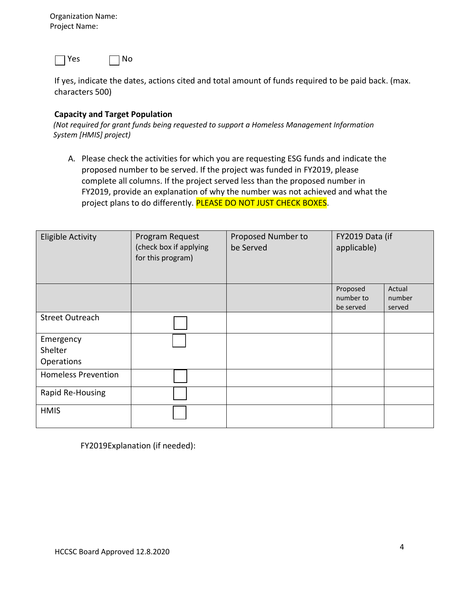Organization Name: Project Name:



If yes, indicate the dates, actions cited and total amount of funds required to be paid back. (max. characters 500)

#### **Capacity and Target Population**

*(Not required for grant funds being requested to support a Homeless Management Information System [HMIS] project)*

A. Please check the activities for which you are requesting ESG funds and indicate the proposed number to be served. If the project was funded in FY2019, please complete all columns. If the project served less than the proposed number in FY2019, provide an explanation of why the number was not achieved and what the project plans to do differently. PLEASE DO NOT JUST CHECK BOXES.

| <b>Eligible Activity</b>           | Program Request<br>(check box if applying<br>for this program) | Proposed Number to<br>be Served | FY2019 Data (if<br>applicable)     |                            |
|------------------------------------|----------------------------------------------------------------|---------------------------------|------------------------------------|----------------------------|
|                                    |                                                                |                                 | Proposed<br>number to<br>be served | Actual<br>number<br>served |
| <b>Street Outreach</b>             |                                                                |                                 |                                    |                            |
| Emergency<br>Shelter<br>Operations |                                                                |                                 |                                    |                            |
| <b>Homeless Prevention</b>         |                                                                |                                 |                                    |                            |
| Rapid Re-Housing                   |                                                                |                                 |                                    |                            |
| <b>HMIS</b>                        |                                                                |                                 |                                    |                            |

FY2019Explanation (if needed):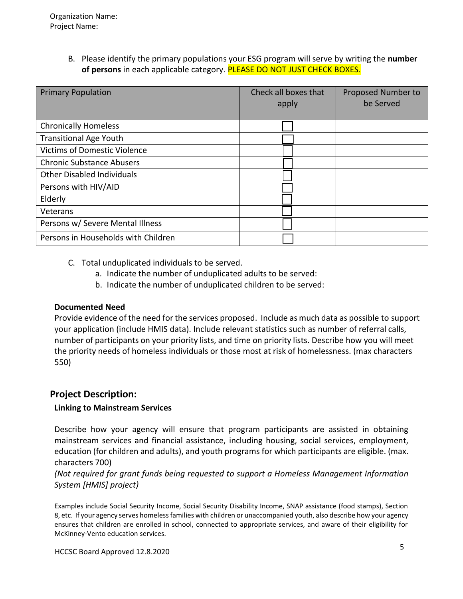B. Please identify the primary populations your ESG program will serve by writing the **number of persons** in each applicable category. PLEASE DO NOT JUST CHECK BOXES.

| <b>Primary Population</b>           | Check all boxes that<br>apply | Proposed Number to<br>be Served |
|-------------------------------------|-------------------------------|---------------------------------|
| <b>Chronically Homeless</b>         |                               |                                 |
| <b>Transitional Age Youth</b>       |                               |                                 |
| <b>Victims of Domestic Violence</b> |                               |                                 |
| <b>Chronic Substance Abusers</b>    |                               |                                 |
| <b>Other Disabled Individuals</b>   |                               |                                 |
| Persons with HIV/AID                |                               |                                 |
| Elderly                             |                               |                                 |
| Veterans                            |                               |                                 |
| Persons w/ Severe Mental Illness    |                               |                                 |
| Persons in Households with Children |                               |                                 |

- C. Total unduplicated individuals to be served.
	- a. Indicate the number of unduplicated adults to be served:
	- b. Indicate the number of unduplicated children to be served:

## **Documented Need**

Provide evidence of the need for the services proposed. Include as much data as possible to support your application (include HMIS data). Include relevant statistics such as number of referral calls, number of participants on your priority lists, and time on priority lists. Describe how you will meet the priority needs of homeless individuals or those most at risk of homelessness. (max characters 550)

# **Project Description:**

## **Linking to Mainstream Services**

Describe how your agency will ensure that program participants are assisted in obtaining mainstream services and financial assistance, including housing, social services, employment, education (for children and adults), and youth programs for which participants are eligible. (max. characters 700)

*(Not required for grant funds being requested to support a Homeless Management Information System [HMIS] project)*

Examples include Social Security Income, Social Security Disability Income, SNAP assistance (food stamps), Section 8, etc. If your agency serves homelessfamilies with children or unaccompanied youth, also describe how your agency ensures that children are enrolled in school, connected to appropriate services, and aware of their eligibility for McKinney‐Vento education services.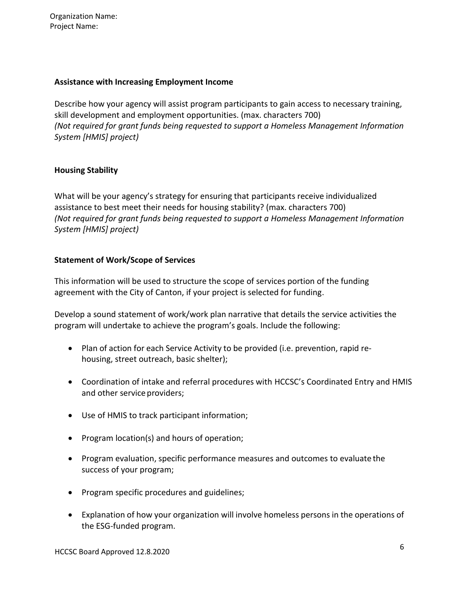Organization Name: Project Name:

#### **Assistance with Increasing Employment Income**

Describe how your agency will assist program participants to gain access to necessary training, skill development and employment opportunities. (max. characters 700) *(Not required for grant funds being requested to support a Homeless Management Information System [HMIS] project)*

## **Housing Stability**

What will be your agency's strategy for ensuring that participants receive individualized assistance to best meet their needs for housing stability? (max. characters 700) *(Not required for grant funds being requested to support a Homeless Management Information System [HMIS] project)*

## **Statement of Work/Scope of Services**

This information will be used to structure the scope of services portion of the funding agreement with the City of Canton, if your project is selected for funding.

Develop a sound statement of work/work plan narrative that details the service activities the program will undertake to achieve the program's goals. Include the following:

- Plan of action for each Service Activity to be provided (i.e. prevention, rapid rehousing, street outreach, basic shelter);
- Coordination of intake and referral procedures with HCCSC's Coordinated Entry and HMIS and other service providers;
- Use of HMIS to track participant information;
- Program location(s) and hours of operation;
- Program evaluation, specific performance measures and outcomes to evaluate the success of your program;
- Program specific procedures and guidelines;
- Explanation of how your organization will involve homeless persons in the operations of the ESG‐funded program.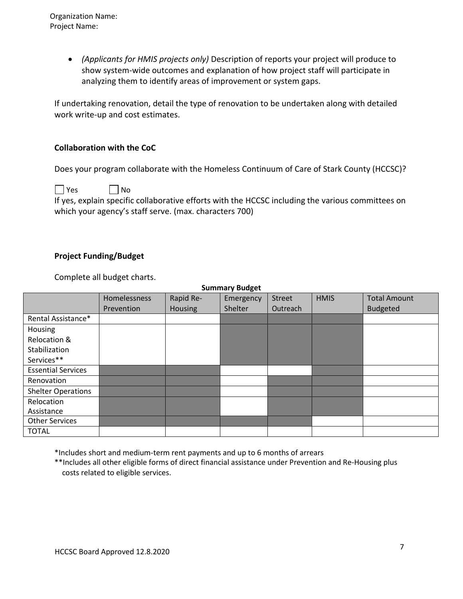*(Applicants for HMIS projects only)* Description of reports your project will produce to show system-wide outcomes and explanation of how project staff will participate in analyzing them to identify areas of improvement or system gaps.

If undertaking renovation, detail the type of renovation to be undertaken along with detailed work write‐up and cost estimates.

## **Collaboration with the CoC**

Does your program collaborate with the Homeless Continuum of Care of Stark County (HCCSC)?

 $\Box$  Yes  $\Box$  No If yes, explain specific collaborative efforts with the HCCSC including the various committees on which your agency's staff serve. (max. characters 700)

## **Project Funding/Budget**

Complete all budget charts.

| <b>Summary Budget</b>     |                     |                |           |          |             |                     |  |
|---------------------------|---------------------|----------------|-----------|----------|-------------|---------------------|--|
|                           | <b>Homelessness</b> | Rapid Re-      | Emergency | Street   | <b>HMIS</b> | <b>Total Amount</b> |  |
|                           | Prevention          | <b>Housing</b> | Shelter   | Outreach |             | <b>Budgeted</b>     |  |
| Rental Assistance*        |                     |                |           |          |             |                     |  |
| Housing                   |                     |                |           |          |             |                     |  |
| Relocation &              |                     |                |           |          |             |                     |  |
| Stabilization             |                     |                |           |          |             |                     |  |
| Services**                |                     |                |           |          |             |                     |  |
| <b>Essential Services</b> |                     |                |           |          |             |                     |  |
| Renovation                |                     |                |           |          |             |                     |  |
| <b>Shelter Operations</b> |                     |                |           |          |             |                     |  |
| Relocation                |                     |                |           |          |             |                     |  |
| Assistance                |                     |                |           |          |             |                     |  |
| <b>Other Services</b>     |                     |                |           |          |             |                     |  |
| <b>TOTAL</b>              |                     |                |           |          |             |                     |  |

\*Includes short and medium‐term rent payments and up to 6 months of arrears

\*\*Includes all other eligible forms of direct financial assistance under Prevention and Re‐Housing plus costs related to eligible services.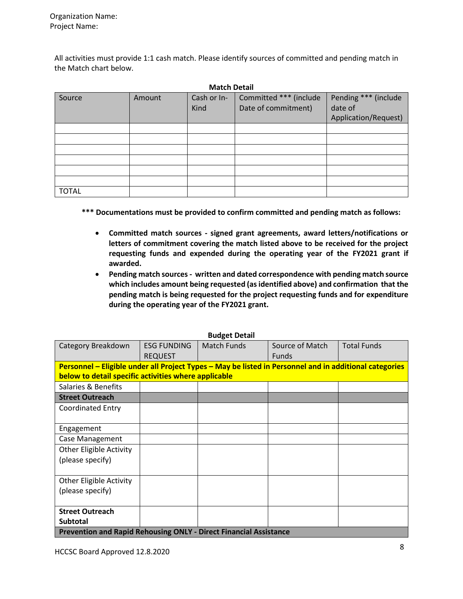All activities must provide 1:1 cash match. Please identify sources of committed and pending match in the Match chart below.

| <b>Match Detail</b> |        |                     |                                               |                                                         |  |  |  |
|---------------------|--------|---------------------|-----------------------------------------------|---------------------------------------------------------|--|--|--|
| Source              | Amount | Cash or In-<br>Kind | Committed *** (include<br>Date of commitment) | Pending *** (include<br>date of<br>Application/Request) |  |  |  |
|                     |        |                     |                                               |                                                         |  |  |  |
|                     |        |                     |                                               |                                                         |  |  |  |
|                     |        |                     |                                               |                                                         |  |  |  |
|                     |        |                     |                                               |                                                         |  |  |  |
|                     |        |                     |                                               |                                                         |  |  |  |
|                     |        |                     |                                               |                                                         |  |  |  |
| <b>TOTAL</b>        |        |                     |                                               |                                                         |  |  |  |

**\*\*\* Documentations must be provided to confirm committed and pending match as follows:**

- **Committed match sources ‐ signed grant agreements, award letters/notifications or letters of commitment covering the match listed above to be received for the project requesting funds and expended during the operating year of the FY2021 grant if awarded.**
- **Pending match sources ‐ written and dated correspondence with pending match source which includes amount being requested (asidentified above) and confirmation that the pending match is being requested for the project requesting funds and for expenditure during the operating year of the FY2021 grant.**

|                                                                          |                                                                                                        | <b>DUUKEL DELAII</b> |                 |                    |  |  |  |  |
|--------------------------------------------------------------------------|--------------------------------------------------------------------------------------------------------|----------------------|-----------------|--------------------|--|--|--|--|
| Category Breakdown                                                       | <b>ESG FUNDING</b>                                                                                     | <b>Match Funds</b>   | Source of Match | <b>Total Funds</b> |  |  |  |  |
|                                                                          | <b>REQUEST</b>                                                                                         |                      | <b>Funds</b>    |                    |  |  |  |  |
|                                                                          | Personnel – Eligible under all Project Types – May be listed in Personnel and in additional categories |                      |                 |                    |  |  |  |  |
| below to detail specific activities where applicable                     |                                                                                                        |                      |                 |                    |  |  |  |  |
| Salaries & Benefits                                                      |                                                                                                        |                      |                 |                    |  |  |  |  |
| <b>Street Outreach</b>                                                   |                                                                                                        |                      |                 |                    |  |  |  |  |
| <b>Coordinated Entry</b>                                                 |                                                                                                        |                      |                 |                    |  |  |  |  |
|                                                                          |                                                                                                        |                      |                 |                    |  |  |  |  |
| Engagement                                                               |                                                                                                        |                      |                 |                    |  |  |  |  |
| Case Management                                                          |                                                                                                        |                      |                 |                    |  |  |  |  |
| <b>Other Eligible Activity</b>                                           |                                                                                                        |                      |                 |                    |  |  |  |  |
| (please specify)                                                         |                                                                                                        |                      |                 |                    |  |  |  |  |
|                                                                          |                                                                                                        |                      |                 |                    |  |  |  |  |
| <b>Other Eligible Activity</b>                                           |                                                                                                        |                      |                 |                    |  |  |  |  |
| (please specify)                                                         |                                                                                                        |                      |                 |                    |  |  |  |  |
|                                                                          |                                                                                                        |                      |                 |                    |  |  |  |  |
| <b>Street Outreach</b>                                                   |                                                                                                        |                      |                 |                    |  |  |  |  |
| Subtotal                                                                 |                                                                                                        |                      |                 |                    |  |  |  |  |
| <b>Prevention and Rapid Rehousing ONLY - Direct Financial Assistance</b> |                                                                                                        |                      |                 |                    |  |  |  |  |

#### **Budget Detail**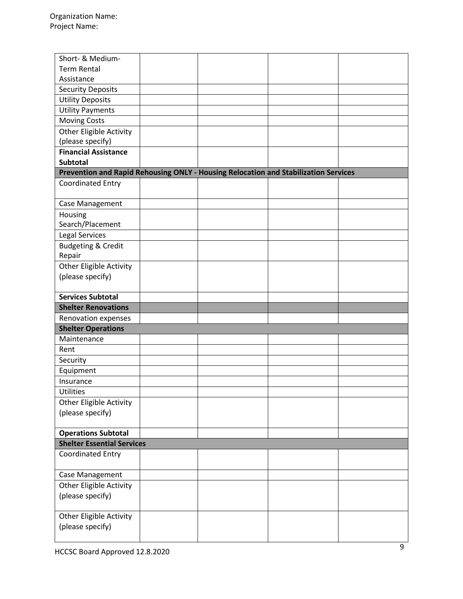| Short- & Medium-                                                                    |  |  |
|-------------------------------------------------------------------------------------|--|--|
| <b>Term Rental</b>                                                                  |  |  |
| Assistance                                                                          |  |  |
| <b>Security Deposits</b>                                                            |  |  |
| <b>Utility Deposits</b>                                                             |  |  |
| <b>Utility Payments</b>                                                             |  |  |
|                                                                                     |  |  |
| <b>Moving Costs</b>                                                                 |  |  |
| <b>Other Eligible Activity</b>                                                      |  |  |
| (please specify)<br><b>Financial Assistance</b>                                     |  |  |
|                                                                                     |  |  |
| <b>Subtotal</b>                                                                     |  |  |
| Prevention and Rapid Rehousing ONLY - Housing Relocation and Stabilization Services |  |  |
| <b>Coordinated Entry</b>                                                            |  |  |
| Case Management                                                                     |  |  |
| Housing                                                                             |  |  |
| Search/Placement                                                                    |  |  |
| Legal Services                                                                      |  |  |
| <b>Budgeting &amp; Credit</b>                                                       |  |  |
| Repair                                                                              |  |  |
| Other Eligible Activity                                                             |  |  |
| (please specify)                                                                    |  |  |
|                                                                                     |  |  |
| <b>Services Subtotal</b>                                                            |  |  |
| <b>Shelter Renovations</b>                                                          |  |  |
| Renovation expenses                                                                 |  |  |
| <b>Shelter Operations</b>                                                           |  |  |
| Maintenance                                                                         |  |  |
| Rent                                                                                |  |  |
| Security                                                                            |  |  |
| Equipment                                                                           |  |  |
| Insurance                                                                           |  |  |
| <b>Utilities</b>                                                                    |  |  |
| <b>Other Eligible Activity</b>                                                      |  |  |
| (please specify)                                                                    |  |  |
|                                                                                     |  |  |
|                                                                                     |  |  |
| <b>Operations Subtotal</b>                                                          |  |  |
| <b>Shelter Essential Services</b>                                                   |  |  |
| <b>Coordinated Entry</b>                                                            |  |  |
|                                                                                     |  |  |
| Case Management                                                                     |  |  |
| Other Eligible Activity                                                             |  |  |
| (please specify)                                                                    |  |  |
|                                                                                     |  |  |
| <b>Other Eligible Activity</b><br>(please specify)                                  |  |  |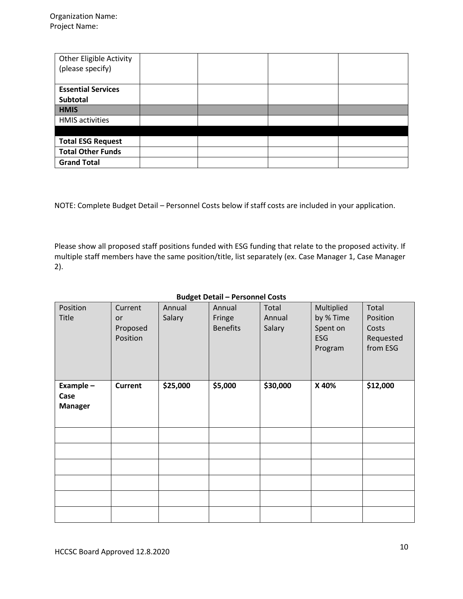| <b>Other Eligible Activity</b><br>(please specify) |  |  |
|----------------------------------------------------|--|--|
| <b>Essential Services</b><br>Subtotal              |  |  |
| <b>HMIS</b>                                        |  |  |
| <b>HMIS</b> activities                             |  |  |
|                                                    |  |  |
| <b>Total ESG Request</b>                           |  |  |
| <b>Total Other Funds</b>                           |  |  |
| <b>Grand Total</b>                                 |  |  |

NOTE: Complete Budget Detail – Personnel Costs below if staff costs are included in your application.

Please show all proposed staff positions funded with ESG funding that relate to the proposed activity. If multiple staff members have the same position/title, list separately (ex. Case Manager 1, Case Manager 2).

| Position<br><b>Title</b>            | Current<br>or<br>Proposed<br>Position | Annual<br>Salary | Annual<br>Fringe<br><b>Benefits</b> | Total<br>Annual<br>Salary | Multiplied<br>by % Time<br>Spent on<br>ESG<br>Program | Total<br>Position<br>Costs<br>Requested<br>from ESG |
|-------------------------------------|---------------------------------------|------------------|-------------------------------------|---------------------------|-------------------------------------------------------|-----------------------------------------------------|
| Example -<br>Case<br><b>Manager</b> | <b>Current</b>                        | \$25,000         | \$5,000                             | \$30,000                  | X 40%                                                 | \$12,000                                            |
|                                     |                                       |                  |                                     |                           |                                                       |                                                     |
|                                     |                                       |                  |                                     |                           |                                                       |                                                     |
|                                     |                                       |                  |                                     |                           |                                                       |                                                     |
|                                     |                                       |                  |                                     |                           |                                                       |                                                     |
|                                     |                                       |                  |                                     |                           |                                                       |                                                     |
|                                     |                                       |                  |                                     |                           |                                                       |                                                     |

#### **Budget Detail – Personnel Costs**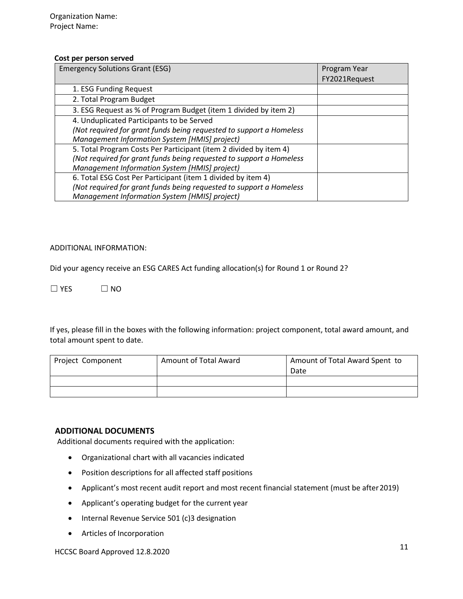#### **Cost per person served**

| <b>Emergency Solutions Grant (ESG)</b>                              | Program Year  |
|---------------------------------------------------------------------|---------------|
|                                                                     | FY2021Request |
| 1. ESG Funding Request                                              |               |
| 2. Total Program Budget                                             |               |
| 3. ESG Request as % of Program Budget (item 1 divided by item 2)    |               |
| 4. Unduplicated Participants to be Served                           |               |
| (Not required for grant funds being requested to support a Homeless |               |
| Management Information System [HMIS] project)                       |               |
| 5. Total Program Costs Per Participant (item 2 divided by item 4)   |               |
| (Not required for grant funds being requested to support a Homeless |               |
| Management Information System [HMIS] project)                       |               |
| 6. Total ESG Cost Per Participant (item 1 divided by item 4)        |               |
| (Not required for grant funds being requested to support a Homeless |               |
| Management Information System [HMIS] project)                       |               |

#### ADDITIONAL INFORMATION:

Did your agency receive an ESG CARES Act funding allocation(s) for Round 1 or Round 2?

 $\square$  YES  $\square$  NO

If yes, please fill in the boxes with the following information: project component, total award amount, and total amount spent to date.

| Project Component | Amount of Total Award | Amount of Total Award Spent to<br>Date |
|-------------------|-----------------------|----------------------------------------|
|                   |                       |                                        |
|                   |                       |                                        |

## **ADDITIONAL DOCUMENTS**

Additional documents required with the application:

- Organizational chart with all vacancies indicated
- Position descriptions for all affected staff positions
- Applicant's most recent audit report and most recent financial statement (must be after2019)
- Applicant's operating budget for the current year
- Internal Revenue Service 501 (c)3 designation
- Articles of Incorporation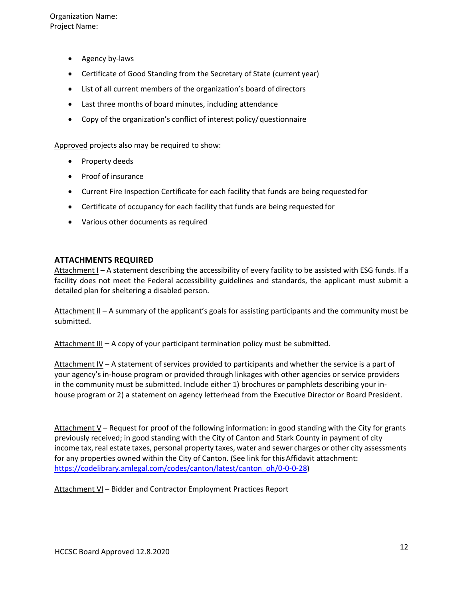Organization Name: Project Name:

- Agency by-laws
- Certificate of Good Standing from the Secretary of State (current year)
- List of all current members of the organization's board of directors
- Last three months of board minutes, including attendance
- Copy of the organization's conflict of interest policy/questionnaire

Approved projects also may be required to show:

- Property deeds
- Proof of insurance
- Current Fire Inspection Certificate for each facility that funds are being requested for
- Certificate of occupancy for each facility that funds are being requested for
- Various other documents as required

#### **ATTACHMENTS REQUIRED**

Attachment I – A statement describing the accessibility of every facility to be assisted with ESG funds. If a facility does not meet the Federal accessibility guidelines and standards, the applicant must submit a detailed plan for sheltering a disabled person.

Attachment II – A summary of the applicant's goals for assisting participants and the community must be submitted.

Attachment III – A copy of your participant termination policy must be submitted.

Attachment IV – A statement of services provided to participants and whether the service is a part of your agency's in‐house program or provided through linkages with other agencies or service providers in the community must be submitted. Include either 1) brochures or pamphlets describing your in‐ house program or 2) a statement on agency letterhead from the Executive Director or Board President.

Attachment V – Request for proof of the following information: in good standing with the City for grants previously received; in good standing with the City of Canton and Stark County in payment of city income tax, real estate taxes, personal property taxes, water and sewer charges or other city assessments for any properties owned within the City of Canton. (See link for thisAffidavit attachment: [https://codelibrary.amlegal.com/codes/canton/latest/canton\\_oh/0-0-0-28\)](https://codelibrary.amlegal.com/codes/canton/latest/canton_oh/0-0-0-28)

Attachment VI – Bidder and Contractor Employment Practices Report